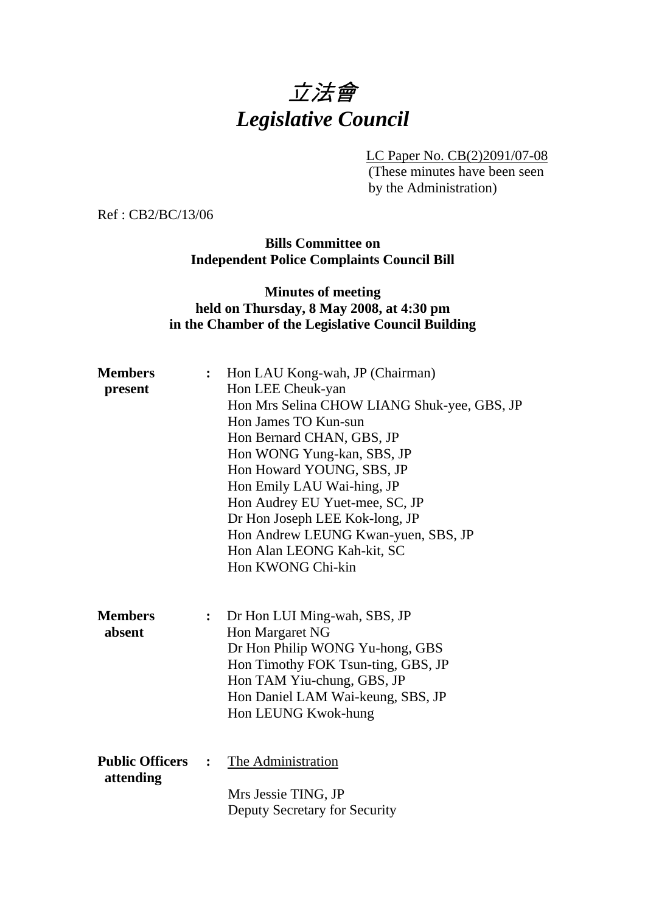# 立法會 *Legislative Council*

LC Paper No. CB(2)2091/07-08

(These minutes have been seen by the Administration)

Ref : CB2/BC/13/06

**Bills Committee on Independent Police Complaints Council Bill** 

#### **Minutes of meeting held on Thursday, 8 May 2008, at 4:30 pm in the Chamber of the Legislative Council Building**

| <b>Members</b><br>present           | $\ddot{\cdot}$ | Hon LAU Kong-wah, JP (Chairman)<br>Hon LEE Cheuk-yan<br>Hon Mrs Selina CHOW LIANG Shuk-yee, GBS, JP<br>Hon James TO Kun-sun<br>Hon Bernard CHAN, GBS, JP<br>Hon WONG Yung-kan, SBS, JP<br>Hon Howard YOUNG, SBS, JP<br>Hon Emily LAU Wai-hing, JP<br>Hon Audrey EU Yuet-mee, SC, JP<br>Dr Hon Joseph LEE Kok-long, JP<br>Hon Andrew LEUNG Kwan-yuen, SBS, JP<br>Hon Alan LEONG Kah-kit, SC<br>Hon KWONG Chi-kin |
|-------------------------------------|----------------|-----------------------------------------------------------------------------------------------------------------------------------------------------------------------------------------------------------------------------------------------------------------------------------------------------------------------------------------------------------------------------------------------------------------|
| <b>Members</b><br>absent            | :              | Dr Hon LUI Ming-wah, SBS, JP<br>Hon Margaret NG<br>Dr Hon Philip WONG Yu-hong, GBS<br>Hon Timothy FOK Tsun-ting, GBS, JP<br>Hon TAM Yiu-chung, GBS, JP<br>Hon Daniel LAM Wai-keung, SBS, JP<br>Hon LEUNG Kwok-hung                                                                                                                                                                                              |
| <b>Public Officers</b><br>attending | $\ddot{\cdot}$ | The Administration<br>Mrs Jessie TING, JP<br>Deputy Secretary for Security                                                                                                                                                                                                                                                                                                                                      |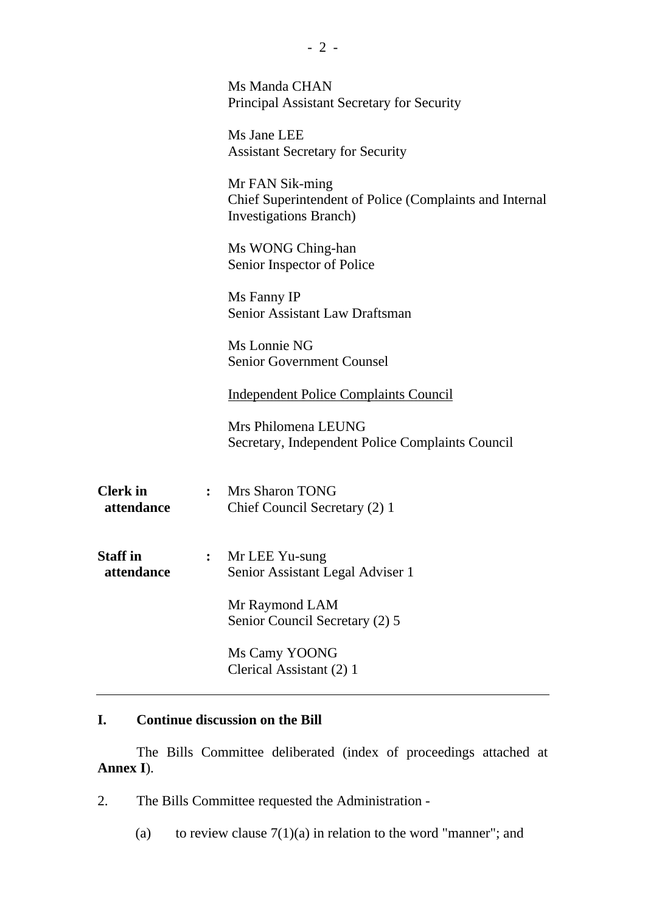|                               | Ms Manda CHAN<br>Principal Assistant Secretary for Security                                                  |
|-------------------------------|--------------------------------------------------------------------------------------------------------------|
|                               | Ms Jane LEE<br><b>Assistant Secretary for Security</b>                                                       |
|                               | Mr FAN Sik-ming<br>Chief Superintendent of Police (Complaints and Internal<br><b>Investigations Branch</b> ) |
|                               | Ms WONG Ching-han<br>Senior Inspector of Police                                                              |
|                               | Ms Fanny IP<br>Senior Assistant Law Draftsman                                                                |
|                               | Ms Lonnie NG<br><b>Senior Government Counsel</b>                                                             |
|                               | <b>Independent Police Complaints Council</b>                                                                 |
|                               | Mrs Philomena LEUNG<br>Secretary, Independent Police Complaints Council                                      |
| <b>Clerk</b> in<br>attendance | : Mrs Sharon TONG<br>Chief Council Secretary (2) 1                                                           |
| <b>Staff</b> in<br>attendance | Mr LEE Yu-sung<br>$\ddot{\cdot}$<br>Senior Assistant Legal Adviser 1                                         |
|                               | Mr Raymond LAM<br>Senior Council Secretary (2) 5                                                             |
|                               | Ms Camy YOONG<br>Clerical Assistant (2) 1                                                                    |

## **I. Continue discussion on the Bill**

1. The Bills Committee deliberated (index of proceedings attached at **Annex I**).

2. The Bills Committee requested the Administration -

(a) to review clause  $7(1)(a)$  in relation to the word "manner"; and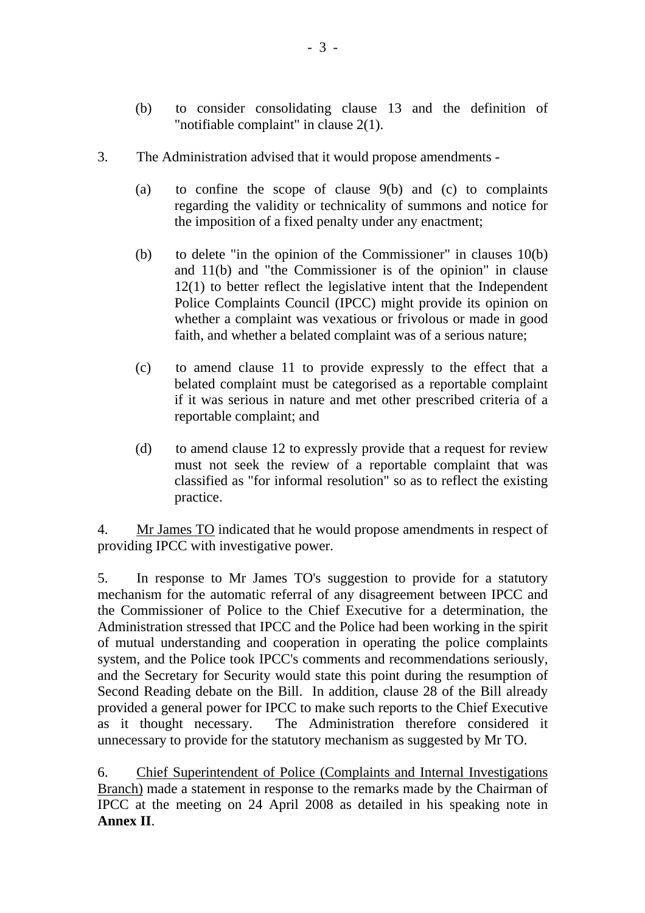- (b) to consider consolidating clause 13 and the definition of "notifiable complaint" in clause 2(1).
- 3. The Administration advised that it would propose amendments
	- (a) to confine the scope of clause 9(b) and (c) to complaints regarding the validity or technicality of summons and notice for the imposition of a fixed penalty under any enactment;
	- (b) to delete "in the opinion of the Commissioner" in clauses 10(b) and 11(b) and "the Commissioner is of the opinion" in clause 12(1) to better reflect the legislative intent that the Independent Police Complaints Council (IPCC) might provide its opinion on whether a complaint was vexatious or frivolous or made in good faith, and whether a belated complaint was of a serious nature;
	- (c) to amend clause 11 to provide expressly to the effect that a belated complaint must be categorised as a reportable complaint if it was serious in nature and met other prescribed criteria of a reportable complaint; and
	- (d) to amend clause 12 to expressly provide that a request for review must not seek the review of a reportable complaint that was classified as "for informal resolution" so as to reflect the existing practice.

4. Mr James TO indicated that he would propose amendments in respect of providing IPCC with investigative power.

5. In response to Mr James TO's suggestion to provide for a statutory mechanism for the automatic referral of any disagreement between IPCC and the Commissioner of Police to the Chief Executive for a determination, the Administration stressed that IPCC and the Police had been working in the spirit of mutual understanding and cooperation in operating the police complaints system, and the Police took IPCC's comments and recommendations seriously, and the Secretary for Security would state this point during the resumption of Second Reading debate on the Bill. In addition, clause 28 of the Bill already provided a general power for IPCC to make such reports to the Chief Executive as it thought necessary. The Administration therefore considered it unnecessary to provide for the statutory mechanism as suggested by Mr TO.

6. Chief Superintendent of Police (Complaints and Internal Investigations Branch) made a statement in response to the remarks made by the Chairman of IPCC at the meeting on 24 April 2008 as detailed in his speaking note in **Annex II**.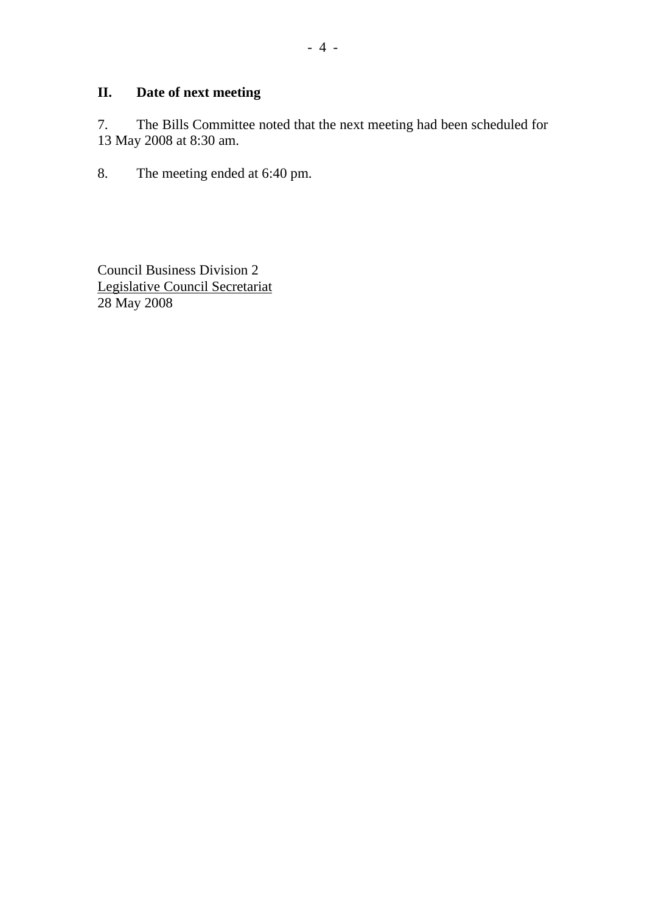# **II. Date of next meeting**

7. The Bills Committee noted that the next meeting had been scheduled for 13 May 2008 at 8:30 am.

8. The meeting ended at 6:40 pm.

Council Business Division 2 Legislative Council Secretariat 28 May 2008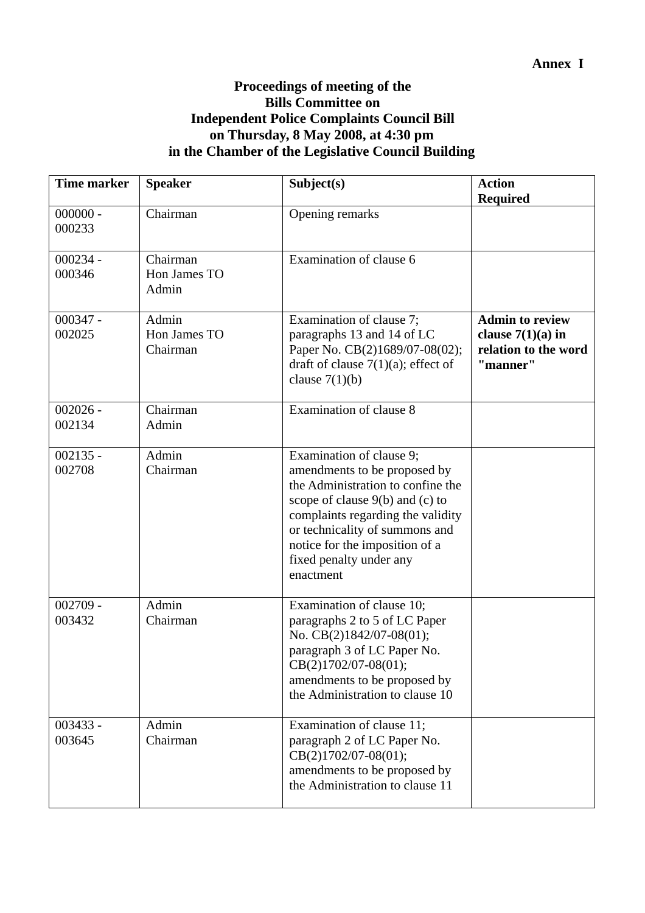### **Proceedings of meeting of the Bills Committee on Independent Police Complaints Council Bill on Thursday, 8 May 2008, at 4:30 pm in the Chamber of the Legislative Council Building**

| <b>Time marker</b>   | <b>Speaker</b>                                        | Subject(s)                                                                                                                                                                                                                                                                          | <b>Action</b><br><b>Required</b>                                                  |
|----------------------|-------------------------------------------------------|-------------------------------------------------------------------------------------------------------------------------------------------------------------------------------------------------------------------------------------------------------------------------------------|-----------------------------------------------------------------------------------|
| $000000 -$<br>000233 | Chairman                                              | Opening remarks                                                                                                                                                                                                                                                                     |                                                                                   |
| $000234 -$<br>000346 | $\overline{\text{Chairman}}$<br>Hon James TO<br>Admin | Examination of clause 6                                                                                                                                                                                                                                                             |                                                                                   |
| $000347 -$<br>002025 | Admin<br>Hon James TO<br>Chairman                     | Examination of clause 7;<br>paragraphs 13 and 14 of LC<br>Paper No. CB(2)1689/07-08(02);<br>draft of clause $7(1)(a)$ ; effect of<br>clause $7(1)(b)$                                                                                                                               | <b>Admin to review</b><br>clause $7(1)(a)$ in<br>relation to the word<br>"manner" |
| $002026 -$<br>002134 | Chairman<br>Admin                                     | Examination of clause 8                                                                                                                                                                                                                                                             |                                                                                   |
| $002135 -$<br>002708 | Admin<br>Chairman                                     | Examination of clause 9;<br>amendments to be proposed by<br>the Administration to confine the<br>scope of clause $9(b)$ and (c) to<br>complaints regarding the validity<br>or technicality of summons and<br>notice for the imposition of a<br>fixed penalty under any<br>enactment |                                                                                   |
| $002709 -$<br>003432 | Admin<br>Chairman                                     | Examination of clause 10;<br>paragraphs 2 to 5 of LC Paper<br>No. CB(2)1842/07-08(01);<br>paragraph 3 of LC Paper No.<br>$CB(2)1702/07-08(01);$<br>amendments to be proposed by<br>the Administration to clause 10                                                                  |                                                                                   |
| $003433 -$<br>003645 | Admin<br>Chairman                                     | Examination of clause 11;<br>paragraph 2 of LC Paper No.<br>$CB(2)1702/07-08(01);$<br>amendments to be proposed by<br>the Administration to clause 11                                                                                                                               |                                                                                   |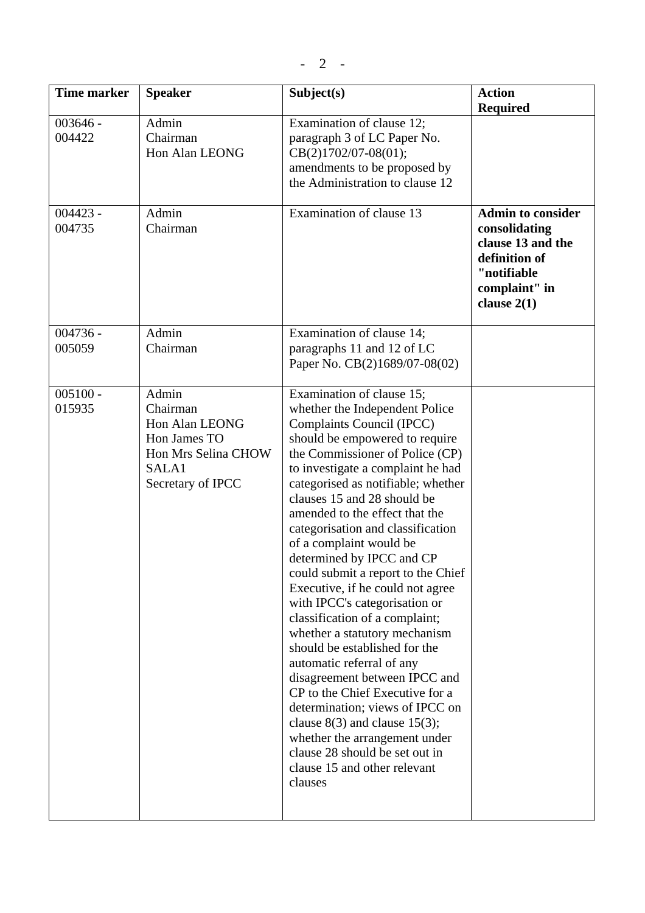| <b>Time marker</b>   | <b>Speaker</b>                                                                                           | Subject(s)                                                                                                                                                                                                                                                                                                                                                                                                                                                                                                                                                                                                                                                                                                                                                                                                                                                                                                 | <b>Action</b><br><b>Required</b>                                                                                                 |
|----------------------|----------------------------------------------------------------------------------------------------------|------------------------------------------------------------------------------------------------------------------------------------------------------------------------------------------------------------------------------------------------------------------------------------------------------------------------------------------------------------------------------------------------------------------------------------------------------------------------------------------------------------------------------------------------------------------------------------------------------------------------------------------------------------------------------------------------------------------------------------------------------------------------------------------------------------------------------------------------------------------------------------------------------------|----------------------------------------------------------------------------------------------------------------------------------|
| $003646 -$<br>004422 | Admin<br>Chairman<br>Hon Alan LEONG                                                                      | Examination of clause 12;<br>paragraph 3 of LC Paper No.<br>CB(2)1702/07-08(01);<br>amendments to be proposed by<br>the Administration to clause 12                                                                                                                                                                                                                                                                                                                                                                                                                                                                                                                                                                                                                                                                                                                                                        |                                                                                                                                  |
| $004423 -$<br>004735 | Admin<br>Chairman                                                                                        | Examination of clause 13                                                                                                                                                                                                                                                                                                                                                                                                                                                                                                                                                                                                                                                                                                                                                                                                                                                                                   | <b>Admin to consider</b><br>consolidating<br>clause 13 and the<br>definition of<br>"notifiable<br>complaint" in<br>clause $2(1)$ |
| $004736 -$<br>005059 | Admin<br>Chairman                                                                                        | Examination of clause 14;<br>paragraphs 11 and 12 of LC<br>Paper No. CB(2)1689/07-08(02)                                                                                                                                                                                                                                                                                                                                                                                                                                                                                                                                                                                                                                                                                                                                                                                                                   |                                                                                                                                  |
| $005100 -$<br>015935 | Admin<br>Chairman<br>Hon Alan LEONG<br>Hon James TO<br>Hon Mrs Selina CHOW<br>SALA1<br>Secretary of IPCC | Examination of clause 15;<br>whether the Independent Police<br>Complaints Council (IPCC)<br>should be empowered to require<br>the Commissioner of Police (CP)<br>to investigate a complaint he had<br>categorised as notifiable; whether<br>clauses 15 and 28 should be<br>amended to the effect that the<br>categorisation and classification<br>of a complaint would be<br>determined by IPCC and CP<br>could submit a report to the Chief<br>Executive, if he could not agree<br>with IPCC's categorisation or<br>classification of a complaint;<br>whether a statutory mechanism<br>should be established for the<br>automatic referral of any<br>disagreement between IPCC and<br>CP to the Chief Executive for a<br>determination; views of IPCC on<br>clause $8(3)$ and clause 15(3);<br>whether the arrangement under<br>clause 28 should be set out in<br>clause 15 and other relevant<br>clauses |                                                                                                                                  |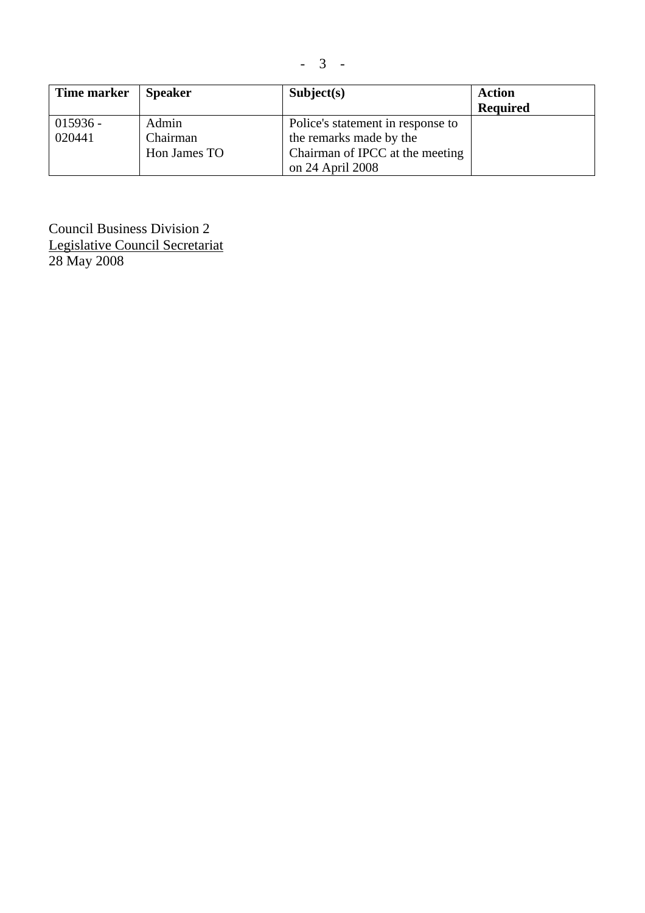| Time marker | <b>Speaker</b> | Subject(s)                        | <b>Action</b><br><b>Required</b> |
|-------------|----------------|-----------------------------------|----------------------------------|
| $015936 -$  | Admin          | Police's statement in response to |                                  |
| 020441      | Chairman       | the remarks made by the           |                                  |
|             | Hon James TO   | Chairman of IPCC at the meeting   |                                  |
|             |                | on 24 April 2008                  |                                  |

- 3 -

Council Business Division 2 Legislative Council Secretariat 28 May 2008